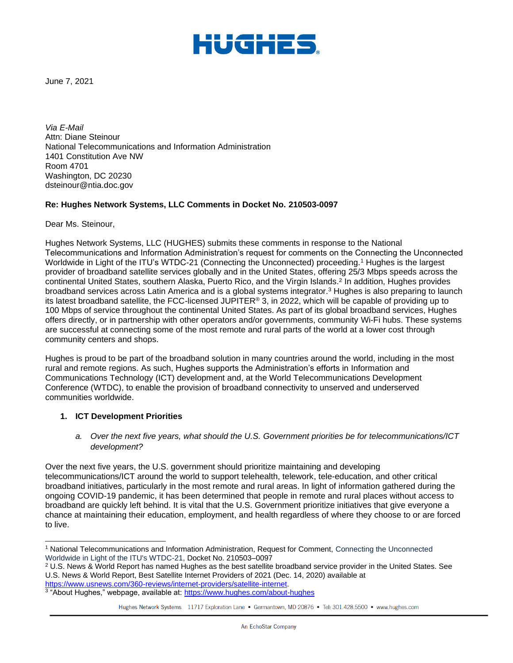

June 7, 2021

*Via E-Mail* Attn: Diane Steinour National Telecommunications and Information Administration 1401 Constitution Ave NW Room 4701 Washington, DC 20230 dsteinour@ntia.doc.gov

### **Re: Hughes Network Systems, LLC Comments in Docket No. 210503-0097**

Dear Ms. Steinour,

Hughes Network Systems, LLC (HUGHES) submits these comments in response to the National Telecommunications and Information Administration's request for comments on the Connecting the Unconnected Worldwide in Light of the ITU's WTDC-21 (Connecting the Unconnected) proceeding.<sup>1</sup> Hughes is the largest provider of broadband satellite services globally and in the United States, offering 25/3 Mbps speeds across the continental United States, southern Alaska, Puerto Rico, and the Virgin Islands.<sup>2</sup> In addition, Hughes provides broadband services across Latin America and is a global systems integrator.<sup>3</sup> Hughes is also preparing to launch its latest broadband satellite, the FCC-licensed JUPITER® 3, in 2022, which will be capable of providing up to 100 Mbps of service throughout the continental United States. As part of its global broadband services, Hughes offers directly, or in partnership with other operators and/or governments, community Wi-Fi hubs. These systems are successful at connecting some of the most remote and rural parts of the world at a lower cost through community centers and shops.

Hughes is proud to be part of the broadband solution in many countries around the world, including in the most rural and remote regions. As such, Hughes supports the Administration's efforts in Information and Communications Technology (ICT) development and, at the World Telecommunications Development Conference (WTDC), to enable the provision of broadband connectivity to unserved and underserved communities worldwide.

### **1. ICT Development Priorities**

*a. Over the next five years, what should the U.S. Government priorities be for telecommunications/ICT development?*

Over the next five years, the U.S. government should prioritize maintaining and developing telecommunications/ICT around the world to support telehealth, telework, tele-education, and other critical broadband initiatives, particularly in the most remote and rural areas. In light of information gathered during the ongoing COVID-19 pandemic, it has been determined that people in remote and rural places without access to broadband are quickly left behind. It is vital that the U.S. Government prioritize initiatives that give everyone a chance at maintaining their education, employment, and health regardless of where they choose to or are forced to live.

<sup>1</sup> National Telecommunications and Information Administration, Request for Comment, Connecting the Unconnected Worldwide in Light of the ITU's WTDC-21, Docket No. 210503–0097

 $2$  U.S. News & World Report has named Hughes as the best satellite broadband service provider in the United States. See U.S. News & World Report, Best Satellite Internet Providers of 2021 (Dec. 14, 2020) available at [https://www.usnews.com/360-reviews/internet-providers/satellite-internet.](https://www.usnews.com/360-reviews/internet-providers/satellite-internet)

<sup>&</sup>lt;sup>3</sup> "About Hughes," webpage, available at: <u>https://www.hughes.com/about-hughes</u>

Hughes Network Systems 11717 Exploration Lane . Germantown, MD 20876 . Tel: 301.428.5500 . www.hughes.com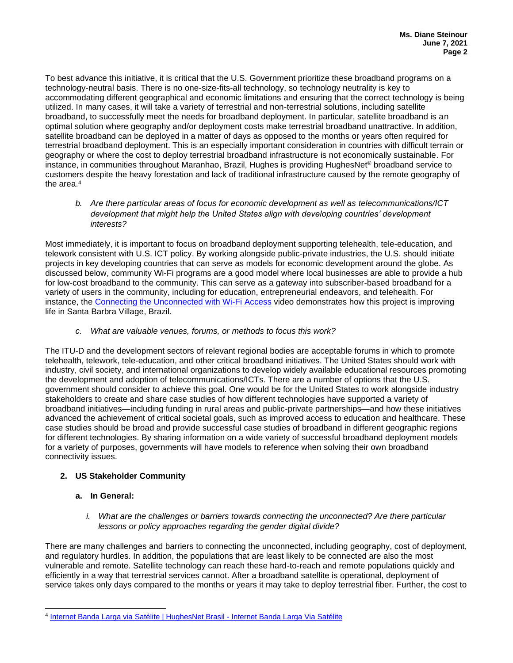To best advance this initiative, it is critical that the U.S. Government prioritize these broadband programs on a technology-neutral basis. There is no one-size-fits-all technology, so technology neutrality is key to accommodating different geographical and economic limitations and ensuring that the correct technology is being utilized. In many cases, it will take a variety of terrestrial and non-terrestrial solutions, including satellite broadband, to successfully meet the needs for broadband deployment. In particular, satellite broadband is an optimal solution where geography and/or deployment costs make terrestrial broadband unattractive. In addition, satellite broadband can be deployed in a matter of days as opposed to the months or years often required for terrestrial broadband deployment. This is an especially important consideration in countries with difficult terrain or geography or where the cost to deploy terrestrial broadband infrastructure is not economically sustainable. For instance, in communities throughout Maranhao, Brazil, Hughes is providing HughesNet® broadband service to customers despite the heavy forestation and lack of traditional infrastructure caused by the remote geography of the area.<sup>4</sup>

*b. Are there particular areas of focus for economic development as well as telecommunications/ICT development that might help the United States align with developing countries' development interests?*

Most immediately, it is important to focus on broadband deployment supporting telehealth, tele-education, and telework consistent with U.S. ICT policy. By working alongside public-private industries, the U.S. should initiate projects in key developing countries that can serve as models for economic development around the globe. As discussed below, community Wi-Fi programs are a good model where local businesses are able to provide a hub for low-cost broadband to the community. This can serve as a gateway into subscriber-based broadband for a variety of users in the community, including for education, entrepreneurial endeavors, and telehealth. For instance, the [Connecting the Unconnected with Wi-Fi Access](https://www.youtube.com/watch?v=sA1DTux5_6k) video demonstrates how this project is improving life in Santa Barbra Village, Brazil.

*c. What are valuable venues, forums, or methods to focus this work?*

The ITU-D and the development sectors of relevant regional bodies are acceptable forums in which to promote telehealth, telework, tele-education, and other critical broadband initiatives. The United States should work with industry, civil society, and international organizations to develop widely available educational resources promoting the development and adoption of telecommunications/ICTs. There are a number of options that the U.S. government should consider to achieve this goal. One would be for the United States to work alongside industry stakeholders to create and share case studies of how different technologies have supported a variety of broadband initiatives—including funding in rural areas and public-private partnerships—and how these initiatives advanced the achievement of critical societal goals, such as improved access to education and healthcare. These case studies should be broad and provide successful case studies of broadband in different geographic regions for different technologies. By sharing information on a wide variety of successful broadband deployment models for a variety of purposes, governments will have models to reference when solving their own broadband connectivity issues.

# **2. US Stakeholder Community**

### **a. In General:**

## *i.* What are the challenges or barriers towards connecting the unconnected? Are there particular *lessons or policy approaches regarding the gender digital divide?*

There are many challenges and barriers to connecting the unconnected, including geography, cost of deployment, and regulatory hurdles. In addition, the populations that are least likely to be connected are also the most vulnerable and remote. Satellite technology can reach these hard-to-reach and remote populations quickly and efficiently in a way that terrestrial services cannot. After a broadband satellite is operational, deployment of service takes only days compared to the months or years it may take to deploy terrestrial fiber. Further, the cost to

<sup>4</sup> [Internet Banda Larga via Satélite | HughesNet Brasil -](https://www.hughesnet.com.br/) Internet Banda Larga Via Satélite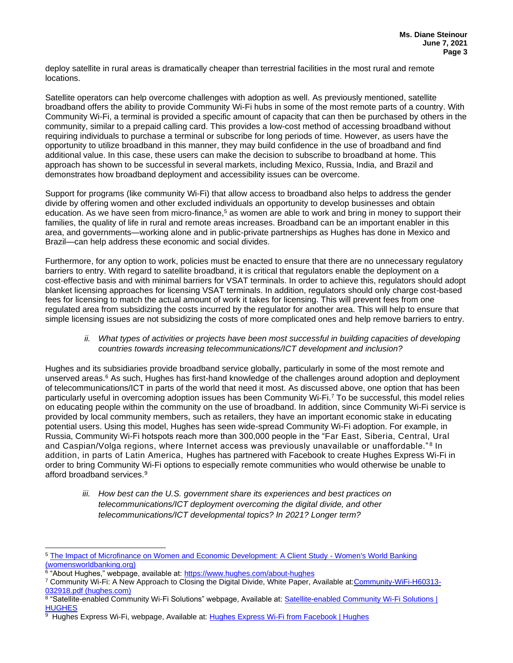deploy satellite in rural areas is dramatically cheaper than terrestrial facilities in the most rural and remote locations.

Satellite operators can help overcome challenges with adoption as well. As previously mentioned, satellite broadband offers the ability to provide Community Wi-Fi hubs in some of the most remote parts of a country. With Community Wi-Fi, a terminal is provided a specific amount of capacity that can then be purchased by others in the community, similar to a prepaid calling card. This provides a low-cost method of accessing broadband without requiring individuals to purchase a terminal or subscribe for long periods of time. However, as users have the opportunity to utilize broadband in this manner, they may build confidence in the use of broadband and find additional value. In this case, these users can make the decision to subscribe to broadband at home. This approach has shown to be successful in several markets, including Mexico, Russia, India, and Brazil and demonstrates how broadband deployment and accessibility issues can be overcome.

Support for programs (like community Wi-Fi) that allow access to broadband also helps to address the gender divide by offering women and other excluded individuals an opportunity to develop businesses and obtain education. As we have seen from micro-finance,<sup>5</sup> as women are able to work and bring in money to support their families, the quality of life in rural and remote areas increases. Broadband can be an important enabler in this area, and governments—working alone and in public-private partnerships as Hughes has done in Mexico and Brazil—can help address these economic and social divides.

Furthermore, for any option to work, policies must be enacted to ensure that there are no unnecessary regulatory barriers to entry. With regard to satellite broadband, it is critical that regulators enable the deployment on a cost-effective basis and with minimal barriers for VSAT terminals. In order to achieve this, regulators should adopt blanket licensing approaches for licensing VSAT terminals. In addition, regulators should only charge cost-based fees for licensing to match the actual amount of work it takes for licensing. This will prevent fees from one regulated area from subsidizing the costs incurred by the regulator for another area. This will help to ensure that simple licensing issues are not subsidizing the costs of more complicated ones and help remove barriers to entry.

## *ii. What types of activities or projects have been most successful in building capacities of developing countries towards increasing telecommunications/ICT development and inclusion?*

Hughes and its subsidiaries provide broadband service globally, particularly in some of the most remote and unserved areas.<sup>6</sup> As such, Hughes has first-hand knowledge of the challenges around adoption and deployment of telecommunications/ICT in parts of the world that need it most. As discussed above, one option that has been particularly useful in overcoming adoption issues has been Community Wi-Fi.<sup>7</sup> To be successful, this model relies on educating people within the community on the use of broadband. In addition, since Community Wi-Fi service is provided by local community members, such as retailers, they have an important economic stake in educating potential users. Using this model, Hughes has seen wide-spread Community Wi-Fi adoption. For example, in Russia, Community Wi-Fi hotspots reach more than 300,000 people in the "Far East, Siberia, Central, Ural and Caspian/Volga regions, where Internet access was previously unavailable or unaffordable."<sup>8</sup> In addition, in parts of Latin America, Hughes has partnered with Facebook to create Hughes Express Wi-Fi in order to bring Community Wi-Fi options to especially remote communities who would otherwise be unable to afford broadband services.<sup>9</sup>

*iii. How best can the U.S. government share its experiences and best practices on telecommunications/ICT deployment overcoming the digital divide, and other telecommunications/ICT developmental topics? In 2021? Longer term?*

<sup>5</sup> [The Impact of Microfinance on Women and Economic Development: A Client Study -](https://www.womensworldbanking.org/insights-and-impact/publications_impact-microfinance-women-and-economic-development-client-study/) Women's World Banking [\(womensworldbanking.org\)](https://www.womensworldbanking.org/insights-and-impact/publications_impact-microfinance-women-and-economic-development-client-study/)

<sup>&</sup>lt;sup>6</sup> "About Hughes," webpage, available at: <u>https://www.hughes.com/about-hughes</u>

<sup>7</sup> Community Wi-Fi: A New Approach to Closing the Digital Divide, White Paper, Available at[:Community-WiFi-H60313-](https://www.hughes.com/sites/hughes.com/files/2018-04/Community-WiFi-H60313-032918.pdf) [032918.pdf \(hughes.com\)](https://www.hughes.com/sites/hughes.com/files/2018-04/Community-WiFi-H60313-032918.pdf)

<sup>&</sup>lt;sup>8</sup> "Satellite-enabled Community Wi-Fi Solutions" webpage, Available at: Satellite-enabled Community Wi-Fi Solutions | **[HUGHES](https://www.hughes.com/solutions/community-wifi)** 

<sup>9</sup> Hughes Express Wi-Fi, webpage, Available at: [Hughes Express Wi-Fi from Facebook | Hughes](https://www.hughes.com/expresswifi)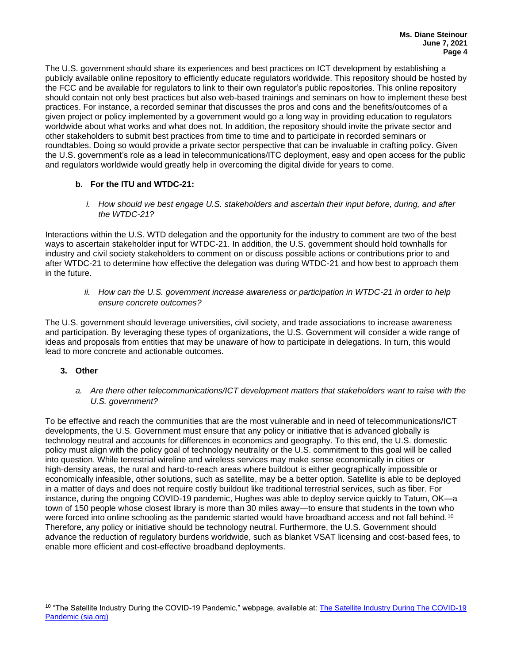The U.S. government should share its experiences and best practices on ICT development by establishing a publicly available online repository to efficiently educate regulators worldwide. This repository should be hosted by the FCC and be available for regulators to link to their own regulator's public repositories. This online repository should contain not only best practices but also web-based trainings and seminars on how to implement these best practices. For instance, a recorded seminar that discusses the pros and cons and the benefits/outcomes of a given project or policy implemented by a government would go a long way in providing education to regulators worldwide about what works and what does not. In addition, the repository should invite the private sector and other stakeholders to submit best practices from time to time and to participate in recorded seminars or roundtables. Doing so would provide a private sector perspective that can be invaluable in crafting policy. Given the U.S. government's role as a lead in telecommunications/ITC deployment, easy and open access for the public and regulators worldwide would greatly help in overcoming the digital divide for years to come.

# **b. For the ITU and WTDC-21:**

*i. How should we best engage U.S. stakeholders and ascertain their input before, during, and after the WTDC-21?*

Interactions within the U.S. WTD delegation and the opportunity for the industry to comment are two of the best ways to ascertain stakeholder input for WTDC-21. In addition, the U.S. government should hold townhalls for industry and civil society stakeholders to comment on or discuss possible actions or contributions prior to and after WTDC-21 to determine how effective the delegation was during WTDC-21 and how best to approach them in the future.

*ii. How can the U.S. government increase awareness or participation in WTDC-21 in order to help ensure concrete outcomes?*

The U.S. government should leverage universities, civil society, and trade associations to increase awareness and participation. By leveraging these types of organizations, the U.S. Government will consider a wide range of ideas and proposals from entities that may be unaware of how to participate in delegations. In turn, this would lead to more concrete and actionable outcomes.

- **3. Other**
	- *a. Are there other telecommunications/ICT development matters that stakeholders want to raise with the U.S. government?*

To be effective and reach the communities that are the most vulnerable and in need of telecommunications/ICT developments, the U.S. Government must ensure that any policy or initiative that is advanced globally is technology neutral and accounts for differences in economics and geography. To this end, the U.S. domestic policy must align with the policy goal of technology neutrality or the U.S. commitment to this goal will be called into question. While terrestrial wireline and wireless services may make sense economically in cities or high-density areas, the rural and hard-to-reach areas where buildout is either geographically impossible or economically infeasible, other solutions, such as satellite, may be a better option. Satellite is able to be deployed in a matter of days and does not require costly buildout like traditional terrestrial services, such as fiber. For instance, during the ongoing COVID-19 pandemic, Hughes was able to deploy service quickly to Tatum, OK—a town of 150 people whose closest library is more than 30 miles away—to ensure that students in the town who were forced into online schooling as the pandemic started would have broadband access and not fall behind.<sup>10</sup> Therefore, any policy or initiative should be technology neutral. Furthermore, the U.S. Government should advance the reduction of regulatory burdens worldwide, such as blanket VSAT licensing and cost-based fees, to enable more efficient and cost-effective broadband deployments.

<sup>&</sup>lt;sup>10</sup> "The Satellite Industry During the COVID-19 Pandemic," webpage, available at: **The Satellite Industry During The COVID-19** [Pandemic \(sia.org\)](https://sia.org/covid-19/)